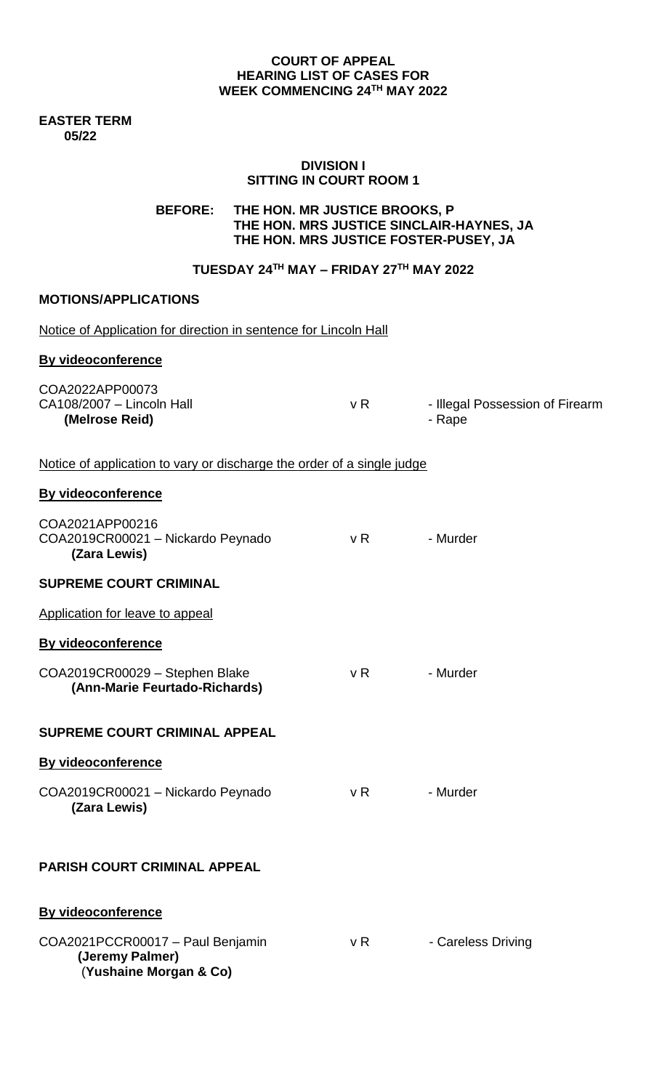#### **COURT OF APPEAL HEARING LIST OF CASES FOR WEEK COMMENCING 24TH MAY 2022**

**EASTER TERM 05/22**

#### **DIVISION I SITTING IN COURT ROOM 1**

# **BEFORE: THE HON. MR JUSTICE BROOKS, P THE HON. MRS JUSTICE SINCLAIR-HAYNES, JA THE HON. MRS JUSTICE FOSTER-PUSEY, JA**

## **TUESDAY 24TH MAY – FRIDAY 27 TH MAY 2022**

# **MOTIONS/APPLICATIONS**

| Notice of Application for direction in sentence for Lincoln Hall              |     |                                           |
|-------------------------------------------------------------------------------|-----|-------------------------------------------|
| <b>By videoconference</b>                                                     |     |                                           |
| COA2022APP00073<br>CA108/2007 - Lincoln Hall<br>(Melrose Reid)                | vR  | - Illegal Possession of Firearm<br>- Rape |
| Notice of application to vary or discharge the order of a single judge        |     |                                           |
| <b>By videoconference</b>                                                     |     |                                           |
| COA2021APP00216<br>COA2019CR00021 - Nickardo Peynado<br>(Zara Lewis)          | vR  | - Murder                                  |
| <b>SUPREME COURT CRIMINAL</b>                                                 |     |                                           |
| Application for leave to appeal                                               |     |                                           |
| <b>By videoconference</b>                                                     |     |                                           |
| COA2019CR00029 - Stephen Blake<br>(Ann-Marie Feurtado-Richards)               | v R | - Murder                                  |
| <b>SUPREME COURT CRIMINAL APPEAL</b>                                          |     |                                           |
| By videoconference                                                            |     |                                           |
| COA2019CR00021 - Nickardo Peynado<br>(Zara Lewis)                             | v R | - Murder                                  |
| <b>PARISH COURT CRIMINAL APPEAL</b>                                           |     |                                           |
| By videoconference                                                            |     |                                           |
| COA2021PCCR00017 - Paul Benjamin<br>(Jeremy Palmer)<br>(Yushaine Morgan & Co) | v R | - Careless Driving                        |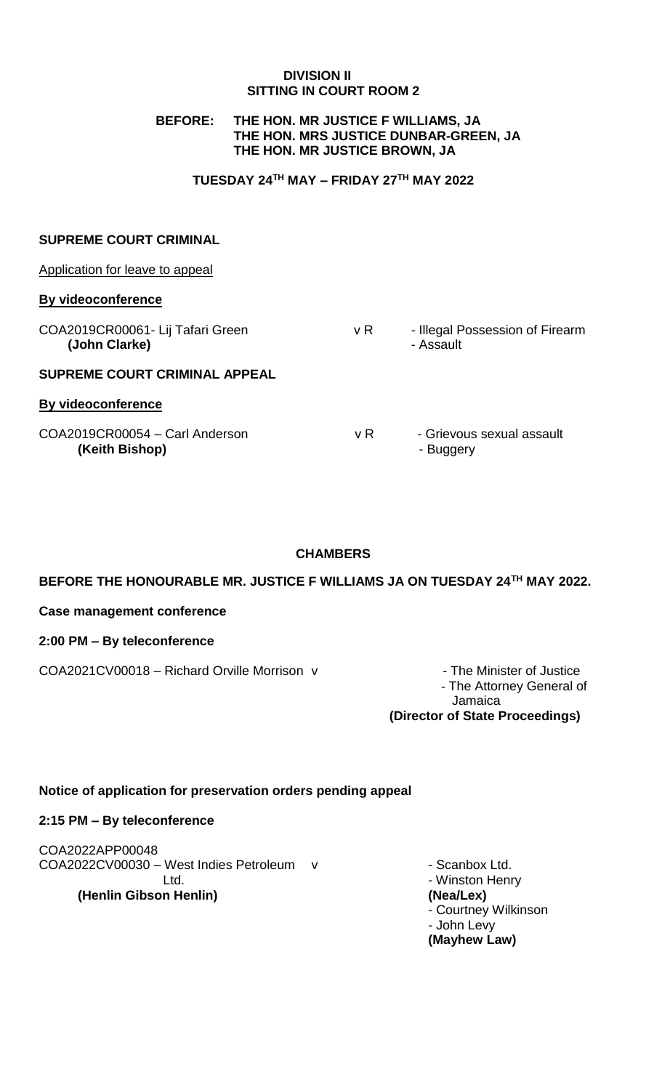### **DIVISION II SITTING IN COURT ROOM 2**

### **BEFORE: THE HON. MR JUSTICE F WILLIAMS, JA THE HON. MRS JUSTICE DUNBAR-GREEN, JA THE HON. MR JUSTICE BROWN, JA**

### **TUESDAY 24TH MAY – FRIDAY 27 TH MAY 2022**

### **SUPREME COURT CRIMINAL**

| Application for leave to appeal                   |     |                                              |
|---------------------------------------------------|-----|----------------------------------------------|
| By videoconference                                |     |                                              |
| COA2019CR00061- Lij Tafari Green<br>(John Clarke) | v R | - Illegal Possession of Firearm<br>- Assault |
| <b>SUPREME COURT CRIMINAL APPEAL</b>              |     |                                              |
| By videoconference                                |     |                                              |
| COA2019CR00054 - Carl Anderson<br>(Keith Bishop)  | v R | - Grievous sexual assault<br>- Buggery       |

# **CHAMBERS**

**BEFORE THE HONOURABLE MR. JUSTICE F WILLIAMS JA ON TUESDAY 24TH MAY 2022.**

**Case management conference**

**2:00 PM – By teleconference** 

COA2021CV00018 – Richard Orville Morrison v - The Minister of Justice

- The Attorney General of Jamaica **(Director of State Proceedings)**

# **Notice of application for preservation orders pending appeal**

#### **2:15 PM – By teleconference**

COA2022APP00048 COA2022CV00030 – West Indies Petroleum v - Scanbox Ltd. Ltd. **Let up a late of the United States and States and States Austine Winston Henry (Henlin Gibson Henlin) (Nea/Lex)** 

- Courtney Wilkinson - John Levy **(Mayhew Law)**